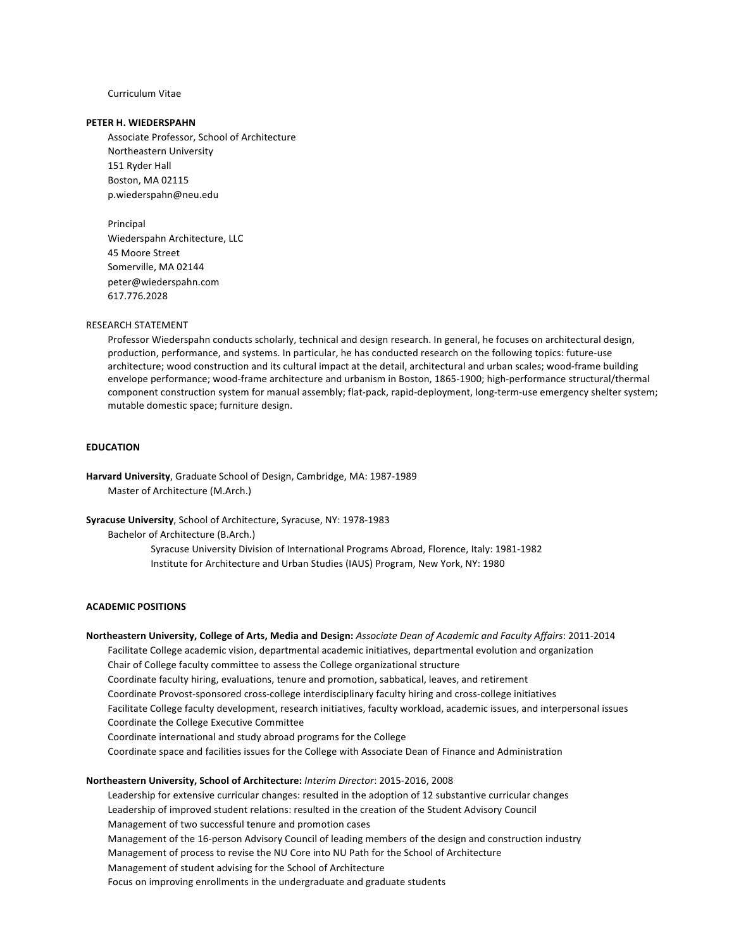#### Curriculum Vitae

#### **PETER H. WIEDERSPAHN**

Associate Professor, School of Architecture Northeastern University 151 Ryder Hall Boston, MA 02115 p.wiederspahn@neu.edu

Principal Wiederspahn Architecture, LLC 45 Moore Street Somerville, MA 02144 peter@wiederspahn.com 617.776.2028

#### RESEARCH STATEMENT

Professor Wiederspahn conducts scholarly, technical and design research. In general, he focuses on architectural design, production, performance, and systems. In particular, he has conducted research on the following topics: future-use architecture; wood construction and its cultural impact at the detail, architectural and urban scales; wood-frame building envelope performance; wood-frame architecture and urbanism in Boston, 1865-1900; high-performance structural/thermal component construction system for manual assembly; flat-pack, rapid-deployment, long-term-use emergency shelter system; mutable domestic space; furniture design.

# **EDUCATION**

Harvard University, Graduate School of Design, Cambridge, MA: 1987-1989 Master of Architecture (M.Arch.)

**Syracuse University**, School of Architecture, Syracuse, NY: 1978-1983

Bachelor of Architecture (B.Arch.)

Syracuse University Division of International Programs Abroad, Florence, Italy: 1981-1982 Institute for Architecture and Urban Studies (IAUS) Program, New York, NY: 1980

## **ACADEMIC POSITIONS**

**Northeastern University, College of Arts, Media and Design:** *Associate Dean of Academic and Faculty Affairs*: 2011-2014 Facilitate College academic vision, departmental academic initiatives, departmental evolution and organization Chair of College faculty committee to assess the College organizational structure Coordinate faculty hiring, evaluations, tenure and promotion, sabbatical, leaves, and retirement Coordinate Provost-sponsored cross-college interdisciplinary faculty hiring and cross-college initiatives Facilitate College faculty development, research initiatives, faculty workload, academic issues, and interpersonal issues Coordinate the College Executive Committee Coordinate international and study abroad programs for the College Coordinate space and facilities issues for the College with Associate Dean of Finance and Administration **Northeastern University, School of Architecture:** *Interim Director*: 2015-2016, 2008 Leadership for extensive curricular changes: resulted in the adoption of 12 substantive curricular changes Leadership of improved student relations: resulted in the creation of the Student Advisory Council Management of two successful tenure and promotion cases Management of the 16-person Advisory Council of leading members of the design and construction industry Management of process to revise the NU Core into NU Path for the School of Architecture

Management of student advising for the School of Architecture

Focus on improving enrollments in the undergraduate and graduate students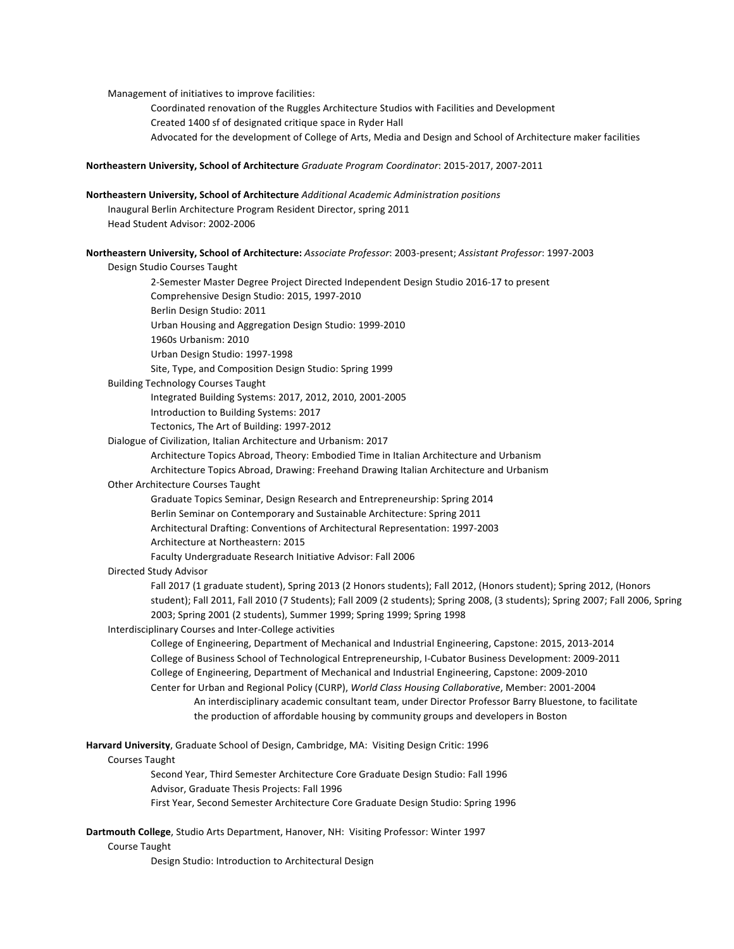Management of initiatives to improve facilities:

Coordinated renovation of the Ruggles Architecture Studios with Facilities and Development Created 1400 sf of designated critique space in Ryder Hall Advocated for the development of College of Arts, Media and Design and School of Architecture maker facilities

**Northeastern University, School of Architecture** *Graduate Program Coordinator*: 2015-2017, 2007-2011

#### **Northeastern University, School of Architecture** *Additional Academic Administration positions*

Inaugural Berlin Architecture Program Resident Director, spring 2011 Head Student Advisor: 2002-2006

**Northeastern University, School of Architecture:** *Associate Professor*: 2003-present; *Assistant Professor*: 1997-2003

Design Studio Courses Taught

2-Semester Master Degree Project Directed Independent Design Studio 2016-17 to present Comprehensive Design Studio: 2015, 1997-2010 Berlin Design Studio: 2011 Urban Housing and Aggregation Design Studio: 1999-2010 1960s Urbanism: 2010 Urban Design Studio: 1997-1998 Site, Type, and Composition Design Studio: Spring 1999

Building Technology Courses Taught

Integrated Building Systems: 2017, 2012, 2010, 2001-2005

Introduction to Building Systems: 2017

Tectonics, The Art of Building: 1997-2012

Dialogue of Civilization, Italian Architecture and Urbanism: 2017

Architecture Topics Abroad, Theory: Embodied Time in Italian Architecture and Urbanism Architecture Topics Abroad, Drawing: Freehand Drawing Italian Architecture and Urbanism

#### Other Architecture Courses Taught

Graduate Topics Seminar, Design Research and Entrepreneurship: Spring 2014

Berlin Seminar on Contemporary and Sustainable Architecture: Spring 2011

Architectural Drafting: Conventions of Architectural Representation: 1997-2003

Architecture at Northeastern: 2015

Faculty Undergraduate Research Initiative Advisor: Fall 2006

Directed Study Advisor

Fall 2017 (1 graduate student), Spring 2013 (2 Honors students); Fall 2012, (Honors student); Spring 2012, (Honors student); Fall 2011, Fall 2010 (7 Students); Fall 2009 (2 students); Spring 2008, (3 students); Spring 2007; Fall 2006, Spring 2003; Spring 2001 (2 students), Summer 1999; Spring 1999; Spring 1998

#### Interdisciplinary Courses and Inter-College activities

College of Engineering, Department of Mechanical and Industrial Engineering, Capstone: 2015, 2013-2014 College of Business School of Technological Entrepreneurship, I-Cubator Business Development: 2009-2011 College of Engineering, Department of Mechanical and Industrial Engineering, Capstone: 2009-2010 Center for Urban and Regional Policy (CURP), *World Class Housing Collaborative*, Member: 2001-2004 An interdisciplinary academic consultant team, under Director Professor Barry Bluestone, to facilitate the production of affordable housing by community groups and developers in Boston

Harvard University, Graduate School of Design, Cambridge, MA: Visiting Design Critic: 1996 Courses Taught Second Year, Third Semester Architecture Core Graduate Design Studio: Fall 1996

Advisor, Graduate Thesis Projects: Fall 1996

First Year, Second Semester Architecture Core Graduate Design Studio: Spring 1996

**Dartmouth College**, Studio Arts Department, Hanover, NH: Visiting Professor: Winter 1997

Course Taught

Design Studio: Introduction to Architectural Design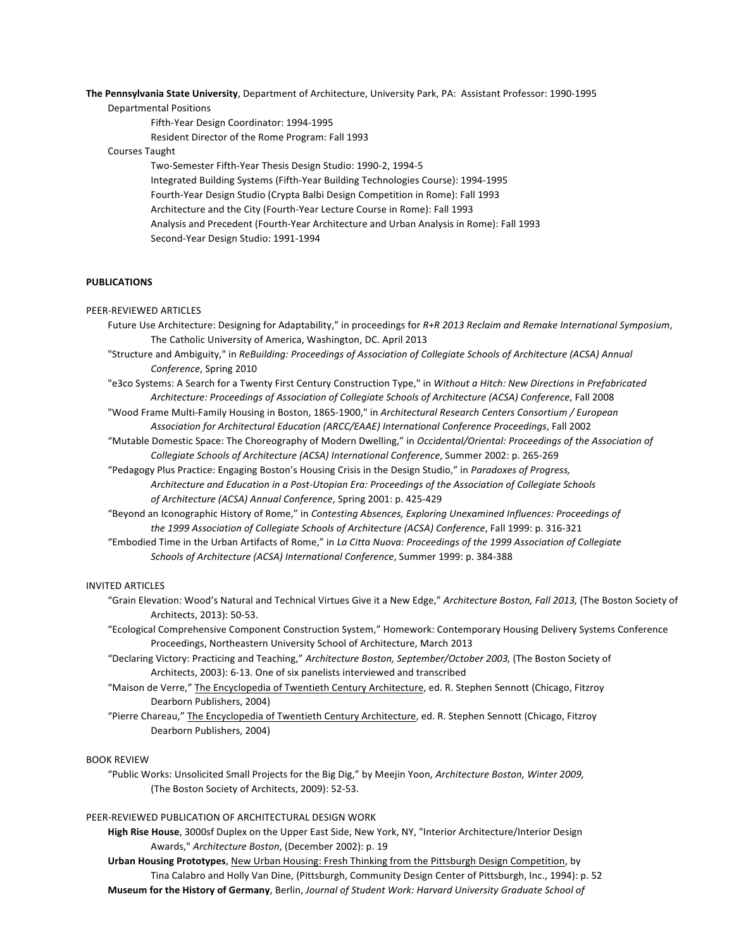The Pennsylvania State University, Department of Architecture, University Park, PA: Assistant Professor: 1990-1995

Departmental Positions

Fifth-Year Design Coordinator: 1994-1995

Resident Director of the Rome Program: Fall 1993

## Courses Taught

Two-Semester Fifth-Year Thesis Design Studio: 1990-2, 1994-5 Integrated Building Systems (Fifth-Year Building Technologies Course): 1994-1995 Fourth-Year Design Studio (Crypta Balbi Design Competition in Rome): Fall 1993 Architecture and the City (Fourth-Year Lecture Course in Rome): Fall 1993 Analysis and Precedent (Fourth-Year Architecture and Urban Analysis in Rome): Fall 1993 Second-Year Design Studio: 1991-1994

# **PUBLICATIONS**

## PEER-REVIEWED ARTICLES

- Future Use Architecture: Designing for Adaptability," in proceedings for R+R 2013 Reclaim and Remake International Symposium, The Catholic University of America, Washington, DC. April 2013
- "Structure and Ambiguity," in *ReBuilding: Proceedings of Association of Collegiate Schools of Architecture (ACSA) Annual Conference*, Spring 2010
- "e3co Systems: A Search for a Twenty First Century Construction Type," in Without a Hitch: New Directions in Prefabricated *Architecture: Proceedings of Association of Collegiate Schools of Architecture (ACSA) Conference*, Fall 2008

"Wood Frame Multi-Family Housing in Boston, 1865-1900," in *Architectural Research Centers Consortium* / European Association for Architectural Education (ARCC/EAAE) International Conference Proceedings, Fall 2002

- "Mutable Domestic Space: The Choreography of Modern Dwelling," in *Occidental/Oriental: Proceedings of the Association of* Collegiate Schools of Architecture (ACSA) International Conference, Summer 2002: p. 265-269
- "Pedagogy Plus Practice: Engaging Boston's Housing Crisis in the Design Studio," in *Paradoxes of Progress,* Architecture and Education in a Post-Utopian Era: Proceedings of the Association of Collegiate Schools of Architecture (ACSA) Annual Conference, Spring 2001: p. 425-429

"Beyond an Iconographic History of Rome," in *Contesting Absences, Exploring Unexamined Influences: Proceedings of* the 1999 Association of Collegiate Schools of Architecture (ACSA) Conference, Fall 1999: p. 316-321

"Embodied Time in the Urban Artifacts of Rome," in *La Citta Nuova: Proceedings of the 1999 Association of Collegiate Schools of Architecture (ACSA) International Conference*, Summer 1999: p. 384-388

## INVITED ARTICLES

"Grain Elevation: Wood's Natural and Technical Virtues Give it a New Edge," Architecture Boston, Fall 2013, (The Boston Society of Architects, 2013): 50-53.

"Ecological Comprehensive Component Construction System," Homework: Contemporary Housing Delivery Systems Conference Proceedings, Northeastern University School of Architecture, March 2013

- "Declaring Victory: Practicing and Teaching," Architecture Boston, September/October 2003, (The Boston Society of Architects, 2003): 6-13. One of six panelists interviewed and transcribed
- "Maison de Verre," The Encyclopedia of Twentieth Century Architecture, ed. R. Stephen Sennott (Chicago, Fitzroy Dearborn Publishers, 2004)
- "Pierre Chareau," The Encyclopedia of Twentieth Century Architecture, ed. R. Stephen Sennott (Chicago, Fitzroy Dearborn Publishers, 2004)

## BOOK REVIEW

"Public Works: Unsolicited Small Projects for the Big Dig," by Meejin Yoon, Architecture Boston, Winter 2009, (The Boston Society of Architects, 2009): 52-53.

# PEER-REVIEWED PUBLICATION OF ARCHITECTURAL DESIGN WORK

High Rise House, 3000sf Duplex on the Upper East Side, New York, NY, "Interior Architecture/Interior Design Awards," Architecture Boston, (December 2002): p. 19

Urban Housing Prototypes, New Urban Housing: Fresh Thinking from the Pittsburgh Design Competition, by Tina Calabro and Holly Van Dine, (Pittsburgh, Community Design Center of Pittsburgh, Inc., 1994): p. 52 **Museum for the History of Germany**, Berlin, Journal of Student Work: Harvard University Graduate School of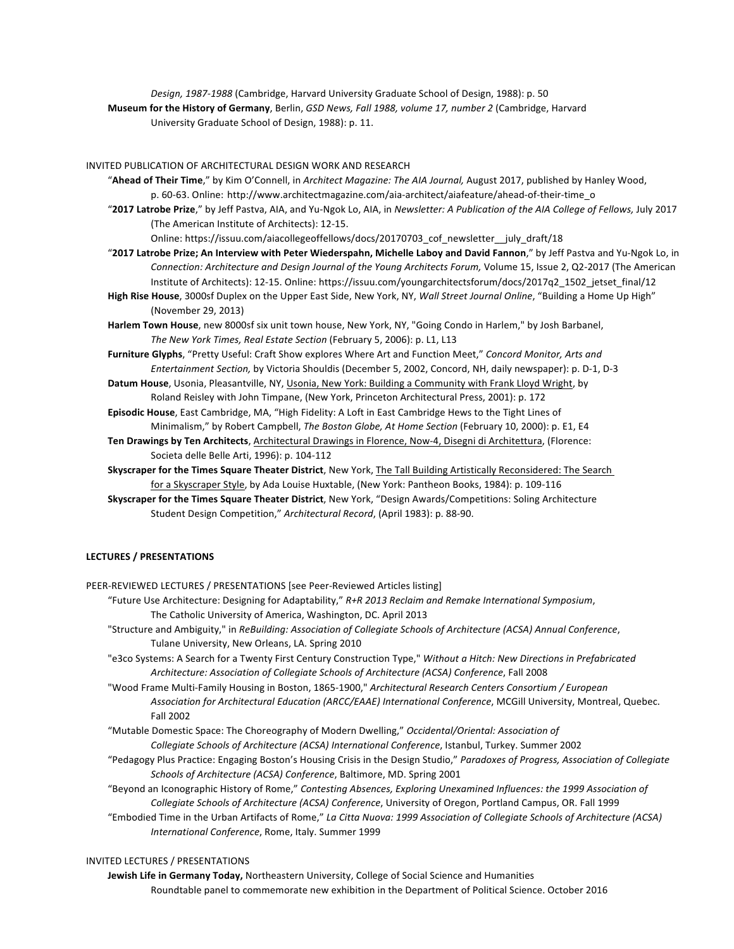Design, 1987-1988 (Cambridge, Harvard University Graduate School of Design, 1988): p. 50 **Museum for the History of Germany**, Berlin, *GSD News, Fall 1988, volume 17, number 2* (Cambridge, Harvard University Graduate School of Design, 1988): p. 11.

INVITED PUBLICATION OF ARCHITECTURAL DESIGN WORK AND RESEARCH

"Ahead of Their Time," by Kim O'Connell, in *Architect Magazine: The AIA Journal*, August 2017, published by Hanley Wood, p. 60-63. Online: http://www.architectmagazine.com/aia-architect/aiafeature/ahead-of-their-time\_o

"2017 Latrobe Prize," by Jeff Pastva, AIA, and Yu-Ngok Lo, AIA, in *Newsletter: A Publication of the AIA College of Fellows, July 2017* (The American Institute of Architects): 12-15.

Online: https://issuu.com/aiacollegeoffellows/docs/20170703\_cof\_newsletter\_\_july\_draft/18

"2017 Latrobe Prize; An Interview with Peter Wiederspahn, Michelle Laboy and David Fannon," by Jeff Pastva and Yu-Ngok Lo, in *Connection: Architecture and Design Journal of the Young Architects Forum, Volume 15, Issue 2, Q2-2017 (The American* Institute of Architects): 12-15. Online: https://issuu.com/youngarchitectsforum/docs/2017q2\_1502\_jetset\_final/12

- High Rise House, 3000sf Duplex on the Upper East Side, New York, NY, Wall Street Journal Online, "Building a Home Up High" (November 29, 2013)
- Harlem Town House, new 8000sf six unit town house, New York, NY, "Going Condo in Harlem," by Josh Barbanel, The New York Times, Real Estate Section (February 5, 2006): p. L1, L13
- Furniture Glyphs, "Pretty Useful: Craft Show explores Where Art and Function Meet," Concord Monitor, Arts and *Entertainment Section, by Victoria Shouldis* (December 5, 2002, Concord, NH, daily newspaper): p. D-1, D-3
- Datum House, Usonia, Pleasantville, NY, Usonia, New York: Building a Community with Frank Lloyd Wright, by Roland Reisley with John Timpane, (New York, Princeton Architectural Press, 2001): p. 172

Episodic House, East Cambridge, MA, "High Fidelity: A Loft in East Cambridge Hews to the Tight Lines of Minimalism," by Robert Campbell, *The Boston Globe, At Home Section* (February 10, 2000): p. E1, E4

- Ten Drawings by Ten Architects, Architectural Drawings in Florence, Now-4, Disegni di Architettura, (Florence: Societa delle Belle Arti, 1996): p. 104-112
- Skyscraper for the Times Square Theater District, New York, The Tall Building Artistically Reconsidered: The Search for a Skyscraper Style, by Ada Louise Huxtable, (New York: Pantheon Books, 1984): p. 109-116
- **Skyscraper for the Times Square Theater District**, New York, "Design Awards/Competitions: Soling Architecture Student Design Competition," Architectural Record, (April 1983): p. 88-90.

#### **LECTURES / PRESENTATIONS**

PEER-REVIEWED LECTURES / PRESENTATIONS [see Peer-Reviewed Articles listing]

- "Future Use Architecture: Designing for Adaptability," R+R 2013 Reclaim and Remake International Symposium, The Catholic University of America, Washington, DC. April 2013
- "Structure and Ambiguity," in *ReBuilding: Association of Collegiate Schools of Architecture (ACSA) Annual Conference,* Tulane University, New Orleans, LA. Spring 2010
- "e3co Systems: A Search for a Twenty First Century Construction Type," Without a Hitch: New Directions in Prefabricated *Architecture: Association of Collegiate Schools of Architecture (ACSA) Conference*, Fall 2008

"Wood Frame Multi-Family Housing in Boston, 1865-1900," Architectural Research Centers Consortium / European Association for Architectural Education (ARCC/EAAE) International Conference, MCGill University, Montreal, Quebec. Fall 2002

"Mutable Domestic Space: The Choreography of Modern Dwelling," Occidental/Oriental: Association of Collegiate Schools of Architecture (ACSA) International Conference, Istanbul, Turkey. Summer 2002

"Pedagogy Plus Practice: Engaging Boston's Housing Crisis in the Design Studio," *Paradoxes of Progress, Association of Collegiate Schools of Architecture (ACSA) Conference*, Baltimore, MD. Spring 2001

"Beyond an Iconographic History of Rome," Contesting Absences, Exploring Unexamined Influences: the 1999 Association of Collegiate Schools of Architecture (ACSA) Conference, University of Oregon, Portland Campus, OR. Fall 1999

"Embodied Time in the Urban Artifacts of Rome," La Citta Nuova: 1999 Association of Collegiate Schools of Architecture (ACSA) *International Conference*, Rome, Italy. Summer 1999

#### INVITED LECTURES / PRESENTATIONS

Jewish Life in Germany Today, Northeastern University, College of Social Science and Humanities Roundtable panel to commemorate new exhibition in the Department of Political Science. October 2016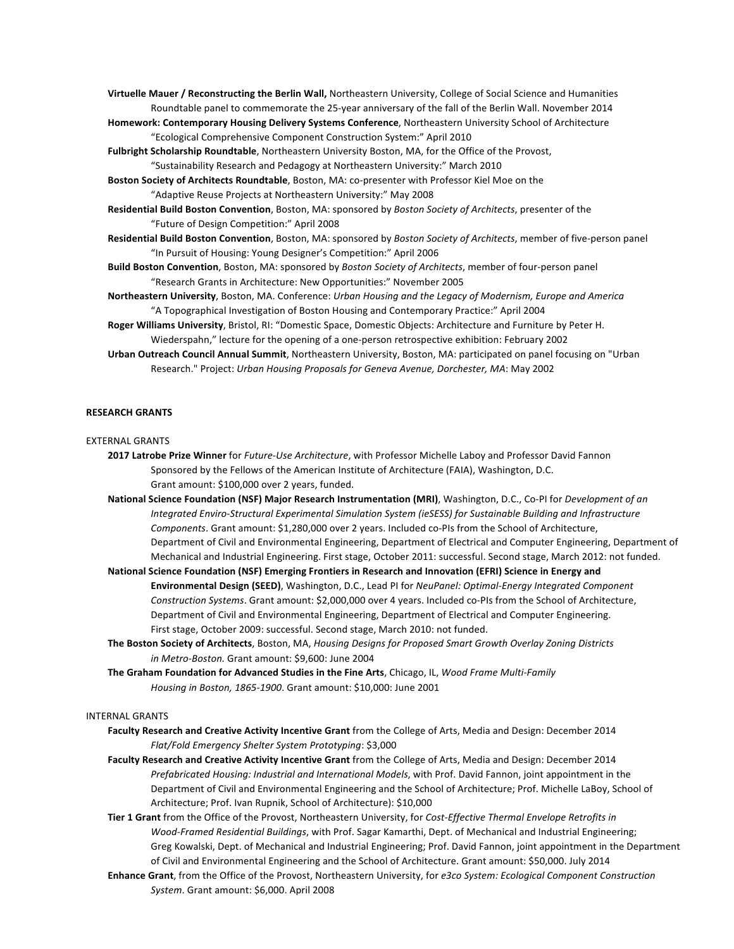- Virtuelle Mauer / Reconstructing the Berlin Wall, Northeastern University, College of Social Science and Humanities Roundtable panel to commemorate the 25-year anniversary of the fall of the Berlin Wall. November 2014
- **Homework: Contemporary Housing Delivery Systems Conference**, Northeastern University School of Architecture "Ecological Comprehensive Component Construction System:" April 2010
- Fulbright Scholarship Roundtable, Northeastern University Boston, MA, for the Office of the Provost, "Sustainability Research and Pedagogy at Northeastern University:" March 2010
- **Boston Society of Architects Roundtable**, Boston, MA: co-presenter with Professor Kiel Moe on the "Adaptive Reuse Projects at Northeastern University:" May 2008
- **Residential Build Boston Convention**, Boston, MA: sponsored by *Boston Society of Architects*, presenter of the "Future of Design Competition:" April 2008
- Residential Build Boston Convention, Boston, MA: sponsored by *Boston Society of Architects*, member of five-person panel "In Pursuit of Housing: Young Designer's Competition:" April 2006
- **Build Boston Convention**, Boston, MA: sponsored by *Boston Society of Architects*, member of four-person panel "Research Grants in Architecture: New Opportunities:" November 2005
- **Northeastern University**, Boston, MA. Conference: *Urban Housing and the Legacy of Modernism, Europe and America* "A Topographical Investigation of Boston Housing and Contemporary Practice:" April 2004
- **Roger Williams University**, Bristol, RI: "Domestic Space, Domestic Objects: Architecture and Furniture by Peter H. Wiederspahn," lecture for the opening of a one-person retrospective exhibition: February 2002
- Urban Outreach Council Annual Summit, Northeastern University, Boston, MA: participated on panel focusing on "Urban Research." Project: Urban Housing Proposals for Geneva Avenue, Dorchester, MA: May 2002

## **RESEARCH GRANTS**

## EXTERNAL GRANTS

- **2017 Latrobe Prize Winner** for *Future-Use Architecture*, with Professor Michelle Laboy and Professor David Fannon Sponsored by the Fellows of the American Institute of Architecture (FAIA), Washington, D.C. Grant amount: \$100,000 over 2 years, funded.
- National Science Foundation (NSF) Major Research Instrumentation (MRI), Washington, D.C., Co-PI for *Development of an Integrated Enviro-Structural Experimental Simulation System (ieSESS)* for Sustainable Building and Infrastructure Components. Grant amount: \$1,280,000 over 2 years. Included co-PIs from the School of Architecture, Department of Civil and Environmental Engineering, Department of Electrical and Computer Engineering, Department of Mechanical and Industrial Engineering. First stage, October 2011: successful. Second stage, March 2012: not funded.
- National Science Foundation (NSF) Emerging Frontiers in Research and Innovation (EFRI) Science in Energy and Environmental Design (SEED), Washington, D.C., Lead PI for *NeuPanel: Optimal-Energy Integrated Component* Construction Systems. Grant amount: \$2,000,000 over 4 years. Included co-PIs from the School of Architecture, Department of Civil and Environmental Engineering, Department of Electrical and Computer Engineering. First stage, October 2009: successful. Second stage, March 2010: not funded.
- The Boston Society of Architects, Boston, MA, *Housing Designs for Proposed Smart Growth Overlay Zoning Districts in Metro-Boston.* Grant amount: \$9,600: June 2004
- The Graham Foundation for Advanced Studies in the Fine Arts, Chicago, IL, Wood Frame Multi-Family *Housing in Boston, 1865-1900.* Grant amount: \$10,000: June 2001

#### INTERNAL GRANTS

- Faculty Research and Creative Activity Incentive Grant from the College of Arts, Media and Design: December 2014 *Flat/Fold Emergency Shelter System Prototyping*: \$3,000
- Faculty Research and Creative Activity Incentive Grant from the College of Arts, Media and Design: December 2014 *Prefabricated Housing: Industrial and International Models*, with Prof. David Fannon, joint appointment in the Department of Civil and Environmental Engineering and the School of Architecture; Prof. Michelle LaBoy, School of Architecture; Prof. Ivan Rupnik, School of Architecture): \$10,000
- Tier 1 Grant from the Office of the Provost, Northeastern University, for Cost-Effective Thermal Envelope Retrofits in *Wood-Framed Residential Buildings*, with Prof. Sagar Kamarthi, Dept. of Mechanical and Industrial Engineering; Greg Kowalski, Dept. of Mechanical and Industrial Engineering; Prof. David Fannon, joint appointment in the Department of Civil and Environmental Engineering and the School of Architecture. Grant amount: \$50,000. July 2014
- Enhance Grant, from the Office of the Provost, Northeastern University, for e3co System: Ecological Component Construction System. Grant amount: \$6,000. April 2008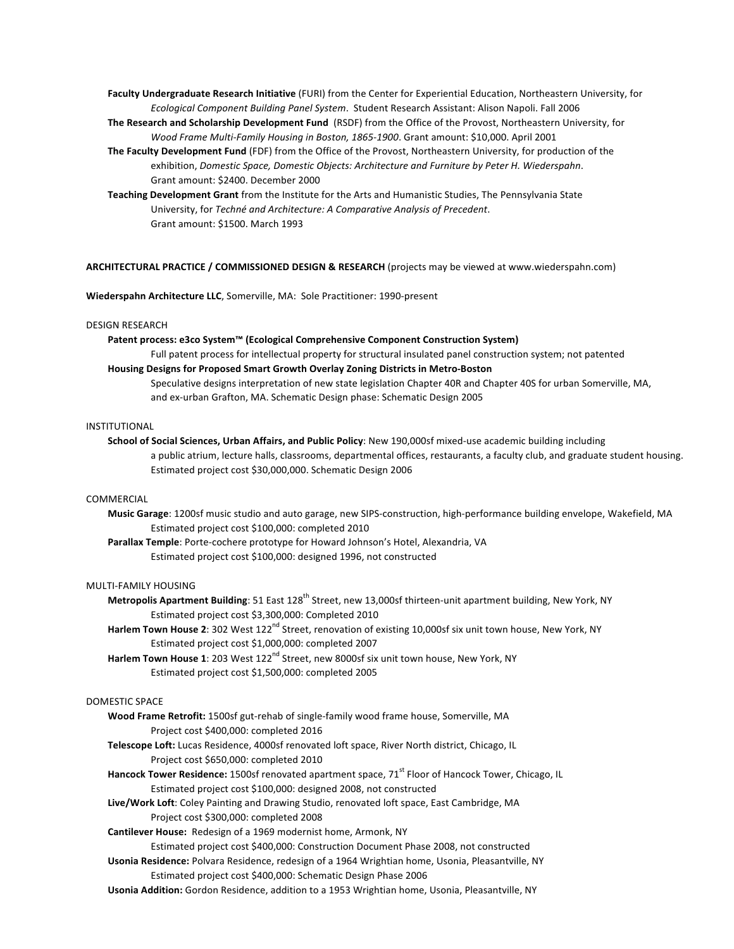Faculty Undergraduate Research Initiative (FURI) from the Center for Experiential Education, Northeastern University, for Ecological Component Building Panel System. Student Research Assistant: Alison Napoli. Fall 2006

- **The Research and Scholarship Development Fund** (RSDF) from the Office of the Provost, Northeastern University, for *Wood Frame Multi-Family Housing in Boston, 1865-1900.* Grant amount: \$10,000. April 2001
- The Faculty Development Fund (FDF) from the Office of the Provost, Northeastern University, for production of the exhibition, Domestic Space, Domestic Objects: Architecture and Furniture by Peter H. Wiederspahn. Grant amount: \$2400. December 2000

Teaching Development Grant from the Institute for the Arts and Humanistic Studies, The Pennsylvania State University, for *Techné and Architecture: A Comparative Analysis of Precedent.* Grant amount: \$1500. March 1993

**ARCHITECTURAL PRACTICE / COMMISSIONED DESIGN & RESEARCH** (projects may be viewed at www.wiederspahn.com)

Wiederspahn Architecture LLC, Somerville, MA: Sole Practitioner: 1990-present

#### DESIGN RESEARCH

**Patent process: e3co System™ (Ecological Comprehensive Component Construction System)** 

Full patent process for intellectual property for structural insulated panel construction system; not patented Housing Designs for Proposed Smart Growth Overlay Zoning Districts in Metro-Boston

Speculative designs interpretation of new state legislation Chapter 40R and Chapter 40S for urban Somerville, MA, and ex-urban Grafton, MA. Schematic Design phase: Schematic Design 2005

## INSTITUTIONAL

School of Social Sciences, Urban Affairs, and Public Policy: New 190,000sf mixed-use academic building including a public atrium, lecture halls, classrooms, departmental offices, restaurants, a faculty club, and graduate student housing. Estimated project cost \$30,000,000. Schematic Design 2006

#### COMMERCIAL

Music Garage: 1200sf music studio and auto garage, new SIPS-construction, high-performance building envelope, Wakefield, MA Estimated project cost \$100,000: completed 2010

Parallax Temple: Porte-cochere prototype for Howard Johnson's Hotel, Alexandria, VA Estimated project cost \$100,000: designed 1996, not constructed

## MULTI-FAMILY HOUSING

**Metropolis Apartment Building**: 51 East 128<sup>th</sup> Street, new 13,000sf thirteen-unit apartment building, New York, NY Estimated project cost \$3,300,000: Completed 2010

- Harlem Town House 2: 302 West 122<sup>nd</sup> Street, renovation of existing 10,000sf six unit town house, New York, NY Estimated project cost \$1,000,000: completed 2007
- **Harlem Town House 1**: 203 West 122<sup>nd</sup> Street, new 8000sf six unit town house, New York, NY Estimated project cost \$1,500,000: completed 2005

## DOMESTIC SPACE

- Wood Frame Retrofit: 1500sf gut-rehab of single-family wood frame house, Somerville, MA Project cost \$400,000: completed 2016
- Telescope Loft: Lucas Residence, 4000sf renovated loft space, River North district, Chicago, IL Project cost \$650,000: completed 2010
- **Hancock Tower Residence:** 1500sf renovated apartment space, 71<sup>st</sup> Floor of Hancock Tower, Chicago, IL Estimated project cost \$100,000: designed 2008, not constructed
- Live/Work Loft: Coley Painting and Drawing Studio, renovated loft space, East Cambridge, MA Project cost \$300,000: completed 2008
- **Cantilever House:** Redesign of a 1969 modernist home, Armonk, NY

Estimated project cost \$400,000: Construction Document Phase 2008, not constructed

- Usonia Residence: Polvara Residence, redesign of a 1964 Wrightian home, Usonia, Pleasantville, NY Estimated project cost \$400,000: Schematic Design Phase 2006
- Usonia Addition: Gordon Residence, addition to a 1953 Wrightian home, Usonia, Pleasantville, NY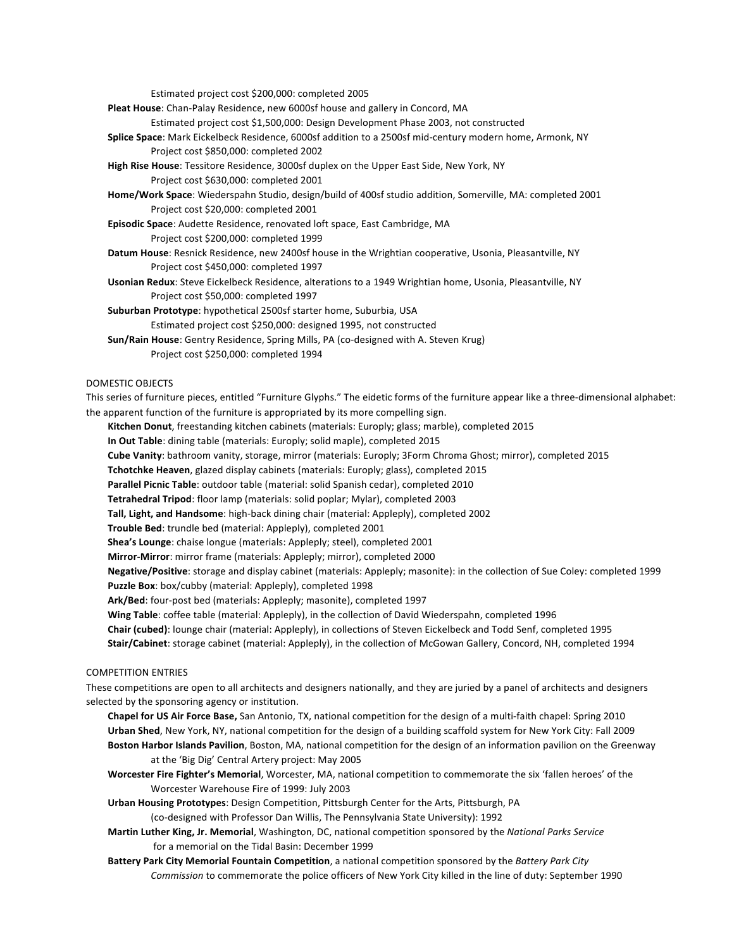Estimated project cost \$200,000: completed 2005

**Pleat House**: Chan-Palay Residence, new 6000sf house and gallery in Concord, MA

Estimated project cost \$1,500,000: Design Development Phase 2003, not constructed

- Splice Space: Mark Eickelbeck Residence, 6000sf addition to a 2500sf mid-century modern home, Armonk, NY Project cost \$850,000: completed 2002
- High Rise House: Tessitore Residence, 3000sf duplex on the Upper East Side, New York, NY Project cost \$630,000: completed 2001
- Home/Work Space: Wiederspahn Studio, design/build of 400sf studio addition, Somerville, MA: completed 2001 Project cost \$20,000: completed 2001
- Episodic Space: Audette Residence, renovated loft space, East Cambridge, MA Project cost \$200,000: completed 1999
- Datum House: Resnick Residence, new 2400sf house in the Wrightian cooperative, Usonia, Pleasantville, NY Project cost \$450,000: completed 1997
- Usonian Redux: Steve Eickelbeck Residence, alterations to a 1949 Wrightian home, Usonia, Pleasantville, NY Project cost \$50,000: completed 1997
- Suburban Prototype: hypothetical 2500sf starter home, Suburbia, USA
	- Estimated project cost \$250,000: designed 1995, not constructed
- **Sun/Rain House**: Gentry Residence, Spring Mills, PA (co-designed with A. Steven Krug) Project cost \$250,000: completed 1994

# DOMESTIC OBJECTS

This series of furniture pieces, entitled "Furniture Glyphs." The eidetic forms of the furniture appear like a three-dimensional alphabet: the apparent function of the furniture is appropriated by its more compelling sign.

- Kitchen Donut, freestanding kitchen cabinets (materials: Europly; glass; marble), completed 2015
- **In Out Table**: dining table (materials: Europly; solid maple), completed 2015
- **Cube Vanity**: bathroom vanity, storage, mirror (materials: Europly; 3Form Chroma Ghost; mirror), completed 2015
- **Tchotchke Heaven**, glazed display cabinets (materials: Europly; glass), completed 2015
- Parallel Picnic Table: outdoor table (material: solid Spanish cedar), completed 2010
- Tetrahedral Tripod: floor lamp (materials: solid poplar; Mylar), completed 2003
- Tall, Light, and Handsome: high-back dining chair (material: Appleply), completed 2002
- Trouble Bed: trundle bed (material: Appleply), completed 2001
- **Shea's Lounge:** chaise longue (materials: Appleply; steel), completed 2001
- **Mirror-Mirror**: mirror frame (materials: Appleply; mirror), completed 2000
- Negative/Positive: storage and display cabinet (materials: Appleply; masonite): in the collection of Sue Coley: completed 1999 Puzzle Box: box/cubby (material: Appleply), completed 1998
- Ark/Bed: four-post bed (materials: Appleply; masonite), completed 1997
- Wing Table: coffee table (material: Appleply), in the collection of David Wiederspahn, completed 1996
- **Chair (cubed)**: lounge chair (material: Appleply), in collections of Steven Eickelbeck and Todd Senf, completed 1995
- Stair/Cabinet: storage cabinet (material: Appleply), in the collection of McGowan Gallery, Concord, NH, completed 1994

# COMPETITION ENTRIES

These competitions are open to all architects and designers nationally, and they are juried by a panel of architects and designers selected by the sponsoring agency or institution.

- **Chapel for US Air Force Base,** San Antonio, TX, national competition for the design of a multi-faith chapel: Spring 2010 Urban Shed, New York, NY, national competition for the design of a building scaffold system for New York City: Fall 2009 Boston Harbor Islands Pavilion, Boston, MA, national competition for the design of an information pavilion on the Greenway at the 'Big Dig' Central Artery project: May 2005
- Worcester Fire Fighter's Memorial, Worcester, MA, national competition to commemorate the six 'fallen heroes' of the Worcester Warehouse Fire of 1999: July 2003
- Urban Housing Prototypes: Design Competition, Pittsburgh Center for the Arts, Pittsburgh, PA

(co-designed with Professor Dan Willis, The Pennsylvania State University): 1992

- **Martin Luther King, Jr. Memorial**, Washington, DC, national competition sponsored by the National Parks Service for a memorial on the Tidal Basin: December 1999
- **Battery Park City Memorial Fountain Competition**, a national competition sponsored by the Battery Park City *Commission* to commemorate the police officers of New York City killed in the line of duty: September 1990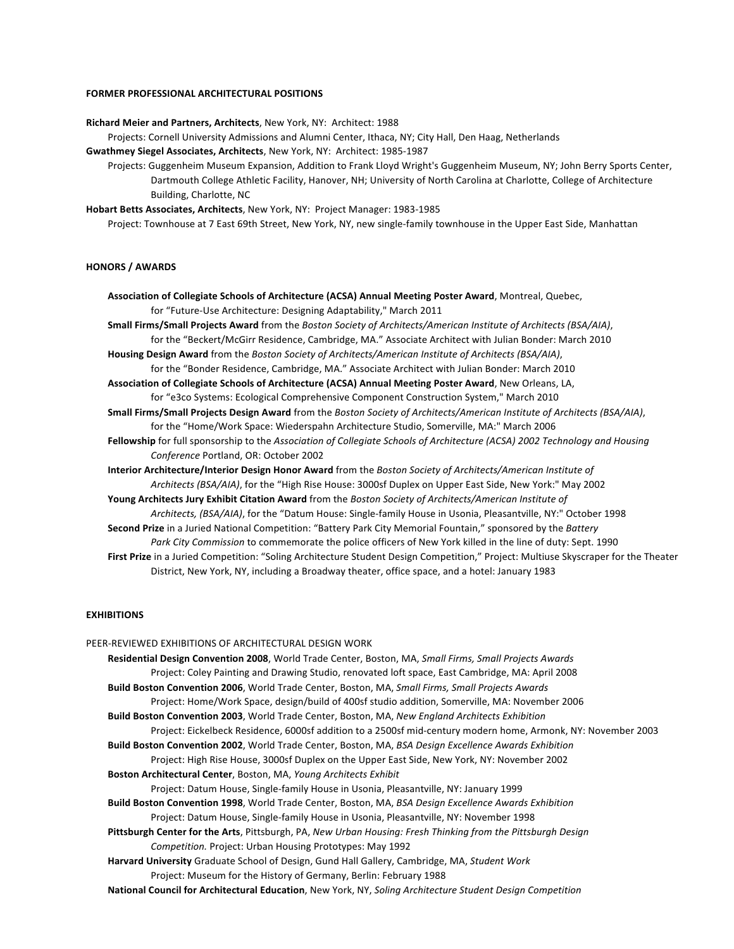#### **FORMER PROFESSIONAL ARCHITECTURAL POSITIONS**

**Richard Meier and Partners, Architects**, New York, NY: Architect: 1988

Projects: Cornell University Admissions and Alumni Center, Ithaca, NY; City Hall, Den Haag, Netherlands

**Gwathmey Siegel Associates, Architects**, New York, NY: Architect: 1985-1987

Projects: Guggenheim Museum Expansion, Addition to Frank Lloyd Wright's Guggenheim Museum, NY; John Berry Sports Center, Dartmouth College Athletic Facility, Hanover, NH; University of North Carolina at Charlotte, College of Architecture Building, Charlotte, NC

**Hobart Betts Associates, Architects**, New York, NY: Project Manager: 1983-1985

Project: Townhouse at 7 East 69th Street, New York, NY, new single-family townhouse in the Upper East Side, Manhattan

## **HONORS / AWARDS**

**Association of Collegiate Schools of Architecture (ACSA) Annual Meeting Poster Award**, Montreal, Quebec, for "Future-Use Architecture: Designing Adaptability," March 2011

**Small Firms/Small Projects Award** from the *Boston Society of Architects/American Institute of Architects (BSA/AIA),* for the "Beckert/McGirr Residence, Cambridge, MA." Associate Architect with Julian Bonder: March 2010

Housing Design Award from the *Boston Society of Architects/American Institute of Architects (BSA/AIA)*, for the "Bonder Residence, Cambridge, MA." Associate Architect with Julian Bonder: March 2010

Association of Collegiate Schools of Architecture (ACSA) Annual Meeting Poster Award, New Orleans, LA, for "e3co Systems: Ecological Comprehensive Component Construction System," March 2010

Small Firms/Small Projects Design Award from the Boston Society of Architects/American Institute of Architects (BSA/AIA), for the "Home/Work Space: Wiederspahn Architecture Studio, Somerville, MA:" March 2006

Fellowship for full sponsorship to the Association of Collegiate Schools of Architecture (ACSA) 2002 Technology and Housing *Conference* Portland, OR: October 2002

**Interior Architecture/Interior Design Honor Award** from the *Boston Society of Architects/American Institute of Architects (BSA/AIA)*, for the "High Rise House: 3000sf Duplex on Upper East Side, New York:" May 2002

Young Architects Jury Exhibit Citation Award from the Boston Society of Architects/American Institute of *Architects, (BSA/AIA),* for the "Datum House: Single-family House in Usonia, Pleasantville, NY:" October 1998

Second Prize in a Juried National Competition: "Battery Park City Memorial Fountain," sponsored by the Battery Park City Commission to commemorate the police officers of New York killed in the line of duty: Sept. 1990

First Prize in a Juried Competition: "Soling Architecture Student Design Competition," Project: Multiuse Skyscraper for the Theater District, New York, NY, including a Broadway theater, office space, and a hotel: January 1983

## **EXHIBITIONS**

PEER-REVIEWED EXHIBITIONS OF ARCHITECTURAL DESIGN WORK Residential Design Convention 2008, World Trade Center, Boston, MA, Small Firms, Small Projects Awards Project: Coley Painting and Drawing Studio, renovated loft space, East Cambridge, MA: April 2008 Build Boston Convention 2006, World Trade Center, Boston, MA, Small Firms, Small Projects Awards Project: Home/Work Space, design/build of 400sf studio addition, Somerville, MA: November 2006 Build Boston Convention 2003, World Trade Center, Boston, MA, New England Architects Exhibition Project: Eickelbeck Residence, 6000sf addition to a 2500sf mid-century modern home, Armonk, NY: November 2003 Build Boston Convention 2002, World Trade Center, Boston, MA, BSA Design Excellence Awards Exhibition Project: High Rise House, 3000sf Duplex on the Upper East Side, New York, NY: November 2002 **Boston Architectural Center**, Boston, MA, *Young Architects Exhibit* Project: Datum House, Single-family House in Usonia, Pleasantville, NY: January 1999 Build Boston Convention 1998, World Trade Center, Boston, MA, BSA Design Excellence Awards Exhibition Project: Datum House, Single-family House in Usonia, Pleasantville, NY: November 1998 Pittsburgh Center for the Arts, Pittsburgh, PA, *New Urban Housing: Fresh Thinking from the Pittsburgh Design Competition.* Project: Urban Housing Prototypes: May 1992 Harvard University Graduate School of Design, Gund Hall Gallery, Cambridge, MA, *Student Work* Project: Museum for the History of Germany, Berlin: February 1988 **National Council for Architectural Education**, New York, NY, Soling Architecture Student Design Competition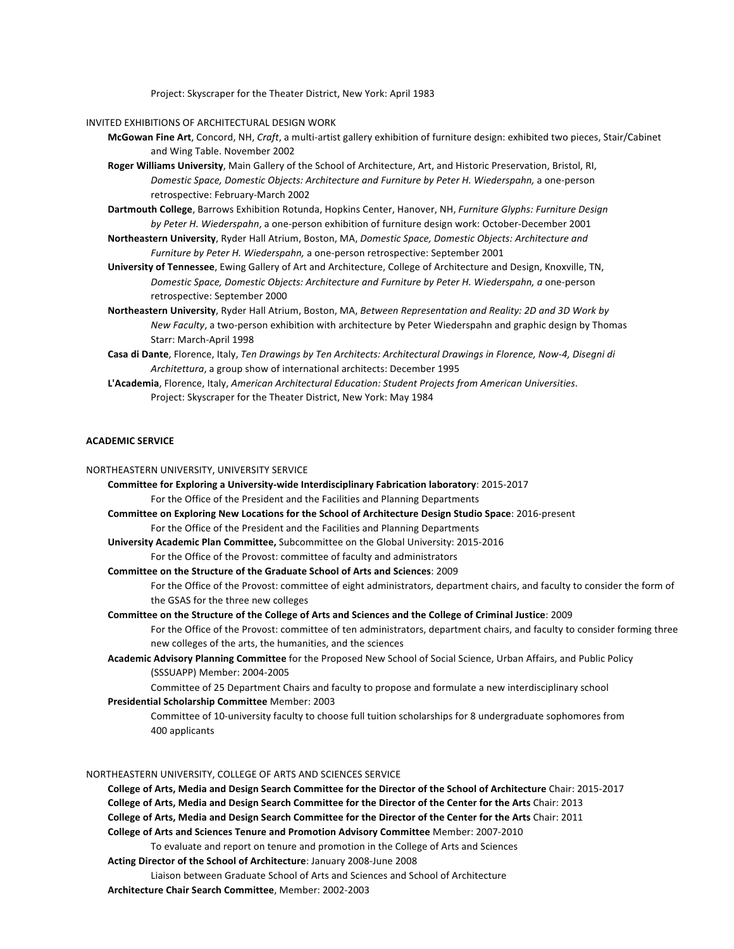Project: Skyscraper for the Theater District, New York: April 1983

#### INVITED EXHIBITIONS OF ARCHITECTURAL DESIGN WORK

- McGowan Fine Art, Concord, NH, *Craft*, a multi-artist gallery exhibition of furniture design: exhibited two pieces, Stair/Cabinet and Wing Table. November 2002
- Roger Williams University, Main Gallery of the School of Architecture, Art, and Historic Preservation, Bristol, RI, *Domestic Space, Domestic Objects: Architecture and Furniture by Peter H. Wiederspahn, a one-person* retrospective: February-March 2002
- Dartmouth College, Barrows Exhibition Rotunda, Hopkins Center, Hanover, NH, *Furniture Glyphs: Furniture Design by Peter H. Wiederspahn,* a one-person exhibition of furniture design work: October-December 2001
- Northeastern University, Ryder Hall Atrium, Boston, MA, Domestic Space, Domestic Objects: Architecture and *Furniture by Peter H. Wiederspahn, a one-person retrospective: September 2001*
- University of Tennessee, Ewing Gallery of Art and Architecture, College of Architecture and Design, Knoxville, TN, *Domestic Space, Domestic Objects: Architecture and Furniture by Peter H. Wiederspahn, a one-person* retrospective: September 2000
- Northeastern University, Ryder Hall Atrium, Boston, MA, Between Representation and Reality: 2D and 3D Work by *New Faculty*, a two-person exhibition with architecture by Peter Wiederspahn and graphic design by Thomas Starr: March-April 1998
- Casa di Dante, Florence, Italy, Ten Drawings by Ten Architects: Architectural Drawings in Florence, Now-4, Disegni di Architettura, a group show of international architects: December 1995
- L'Academia, Florence, Italy, American Architectural Education: Student Projects from American Universities. Project: Skyscraper for the Theater District, New York: May 1984

# **ACADEMIC SERVICE**

- NORTHEASTERN UNIVERSITY, UNIVERSITY SERVICE
	- **Committee for Exploring a University-wide Interdisciplinary Fabrication laboratory:** 2015-2017 For the Office of the President and the Facilities and Planning Departments **Committee on Exploring New Locations for the School of Architecture Design Studio Space: 2016-present**

For the Office of the President and the Facilities and Planning Departments

- **University Academic Plan Committee,** Subcommittee on the Global University: 2015-2016 For the Office of the Provost: committee of faculty and administrators
- **Committee on the Structure of the Graduate School of Arts and Sciences: 2009**

For the Office of the Provost: committee of eight administrators, department chairs, and faculty to consider the form of the GSAS for the three new colleges

**Committee on the Structure of the College of Arts and Sciences and the College of Criminal Justice:** 2009

For the Office of the Provost: committee of ten administrators, department chairs, and faculty to consider forming three new colleges of the arts, the humanities, and the sciences

Academic Advisory Planning Committee for the Proposed New School of Social Science, Urban Affairs, and Public Policy (SSSUAPP) Member: 2004-2005

Committee of 25 Department Chairs and faculty to propose and formulate a new interdisciplinary school

## **Presidential Scholarship Committee** Member: 2003

Committee of 10-university faculty to choose full tuition scholarships for 8 undergraduate sophomores from 400 applicants

#### NORTHEASTERN UNIVERSITY, COLLEGE OF ARTS AND SCIENCES SERVICE

**College of Arts, Media and Design Search Committee for the Director of the School of Architecture** Chair: 2015-2017 **College of Arts, Media and Design Search Committee for the Director of the Center for the Arts Chair: 2013 College of Arts, Media and Design Search Committee for the Director of the Center for the Arts Chair: 2011 College of Arts and Sciences Tenure and Promotion Advisory Committee** Member: 2007-2010 To evaluate and report on tenure and promotion in the College of Arts and Sciences Acting Director of the School of Architecture: January 2008-June 2008 Liaison between Graduate School of Arts and Sciences and School of Architecture **Architecture Chair Search Committee**, Member: 2002-2003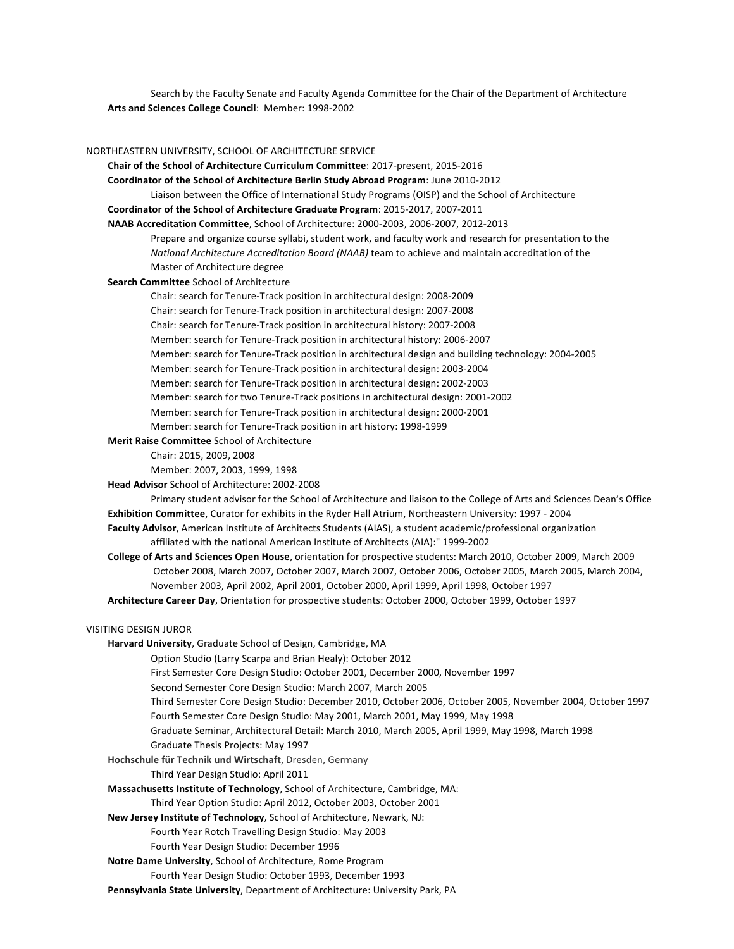Search by the Faculty Senate and Faculty Agenda Committee for the Chair of the Department of Architecture Arts and Sciences College Council: Member: 1998-2002

#### NORTHEASTERN UNIVERSITY, SCHOOL OF ARCHITECTURE SERVICE

- **Chair of the School of Architecture Curriculum Committee:** 2017-present, 2015-2016
- **Coordinator of the School of Architecture Berlin Study Abroad Program:** June 2010-2012
- Liaison between the Office of International Study Programs (OISP) and the School of Architecture

**Coordinator of the School of Architecture Graduate Program:** 2015-2017, 2007-2011

**NAAB Accreditation Committee**, School of Architecture: 2000-2003, 2006-2007, 2012-2013

Prepare and organize course syllabi, student work, and faculty work and research for presentation to the *National Architecture Accreditation Board (NAAB)* team to achieve and maintain accreditation of the Master of Architecture degree

#### **Search Committee** School of Architecture

Chair: search for Tenure-Track position in architectural design: 2008-2009

Chair: search for Tenure-Track position in architectural design: 2007-2008

Chair: search for Tenure-Track position in architectural history: 2007-2008

Member: search for Tenure-Track position in architectural history: 2006-2007

Member: search for Tenure-Track position in architectural design and building technology: 2004-2005

Member: search for Tenure-Track position in architectural design: 2003-2004

Member: search for Tenure-Track position in architectural design: 2002-2003

Member: search for two Tenure-Track positions in architectural design: 2001-2002

Member: search for Tenure-Track position in architectural design: 2000-2001

Member: search for Tenure-Track position in art history: 1998-1999

# **Merit Raise Committee** School of Architecture

Chair: 2015, 2009, 2008

Member: 2007, 2003, 1999, 1998

**Head Advisor** School of Architecture: 2002-2008

Primary student advisor for the School of Architecture and liaison to the College of Arts and Sciences Dean's Office Exhibition Committee, Curator for exhibits in the Ryder Hall Atrium, Northeastern University: 1997 - 2004

- Faculty Advisor, American Institute of Architects Students (AIAS), a student academic/professional organization affiliated with the national American Institute of Architects (AIA):" 1999-2002
- **College of Arts and Sciences Open House**, orientation for prospective students: March 2010, October 2009, March 2009 October 2008, March 2007, October 2007, March 2007, October 2006, October 2005, March 2005, March 2004, November 2003, April 2002, April 2001, October 2000, April 1999, April 1998, October 1997
- Architecture Career Day, Orientation for prospective students: October 2000, October 1999, October 1997

#### VISITING DESIGN JUROR

Harvard University, Graduate School of Design, Cambridge, MA

Option Studio (Larry Scarpa and Brian Healy): October 2012

First Semester Core Design Studio: October 2001, December 2000, November 1997

Second Semester Core Design Studio: March 2007, March 2005

- Third Semester Core Design Studio: December 2010, October 2006, October 2005, November 2004, October 1997 Fourth Semester Core Design Studio: May 2001, March 2001, May 1999, May 1998
- Graduate Seminar, Architectural Detail: March 2010, March 2005, April 1999, May 1998, March 1998
- Graduate Thesis Projects: May 1997
- Hochschule für Technik und Wirtschaft, Dresden, Germany
	- Third Year Design Studio: April 2011

**Massachusetts Institute of Technology**, School of Architecture, Cambridge, MA:

- Third Year Option Studio: April 2012, October 2003, October 2001
- **New Jersey Institute of Technology**, School of Architecture, Newark, NJ:
	- Fourth Year Rotch Travelling Design Studio: May 2003
	- Fourth Year Design Studio: December 1996
- **Notre Dame University**, School of Architecture, Rome Program
	- Fourth Year Design Studio: October 1993, December 1993
- Pennsylvania State University, Department of Architecture: University Park, PA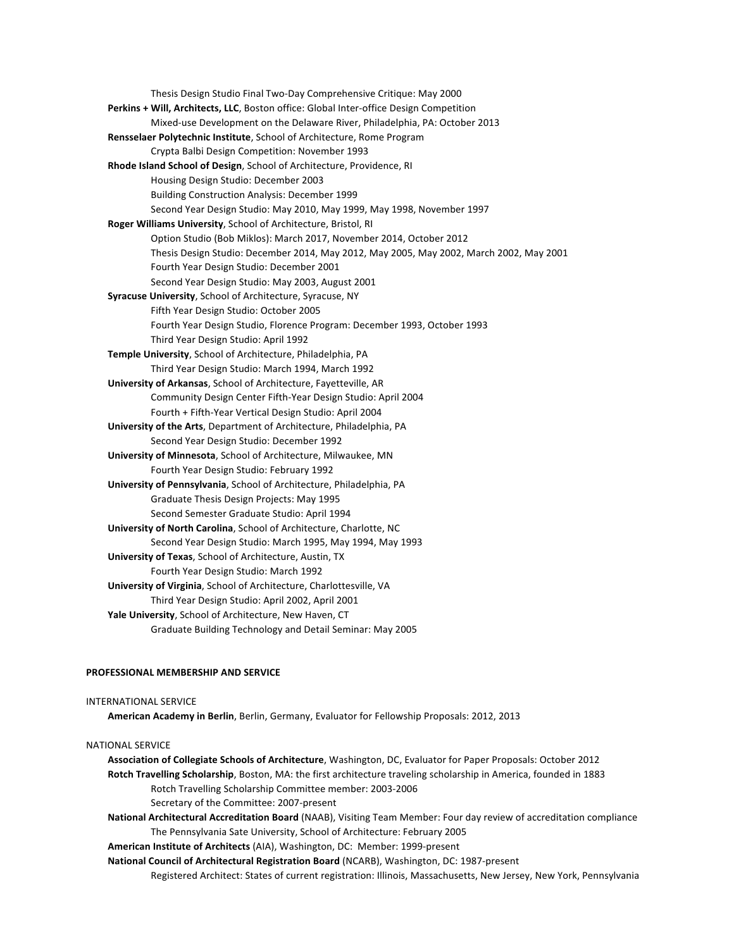Thesis Design Studio Final Two-Day Comprehensive Critique: May 2000 Perkins + Will, Architects, LLC, Boston office: Global Inter-office Design Competition Mixed-use Development on the Delaware River, Philadelphia, PA: October 2013 **Rensselaer Polytechnic Institute**, School of Architecture, Rome Program Crypta Balbi Design Competition: November 1993 **Rhode Island School of Design**, School of Architecture, Providence, RI Housing Design Studio: December 2003 **Building Construction Analysis: December 1999** Second Year Design Studio: May 2010, May 1999, May 1998, November 1997 **Roger Williams University**, School of Architecture, Bristol, RI Option Studio (Bob Miklos): March 2017, November 2014, October 2012 Thesis Design Studio: December 2014, May 2012, May 2005, May 2002, March 2002, May 2001 Fourth Year Design Studio: December 2001 Second Year Design Studio: May 2003, August 2001 **Syracuse University**, School of Architecture, Syracuse, NY Fifth Year Design Studio: October 2005 Fourth Year Design Studio, Florence Program: December 1993, October 1993 Third Year Design Studio: April 1992 Temple University, School of Architecture, Philadelphia, PA Third Year Design Studio: March 1994, March 1992 **University of Arkansas**, School of Architecture, Fayetteville, AR Community Design Center Fifth-Year Design Studio: April 2004 Fourth + Fifth-Year Vertical Design Studio: April 2004 University of the Arts, Department of Architecture, Philadelphia, PA Second Year Design Studio: December 1992 **University of Minnesota**, School of Architecture, Milwaukee, MN Fourth Year Design Studio: February 1992 **University of Pennsylvania**, School of Architecture, Philadelphia, PA Graduate Thesis Design Projects: May 1995 Second Semester Graduate Studio: April 1994 **University of North Carolina**, School of Architecture, Charlotte, NC Second Year Design Studio: March 1995, May 1994, May 1993 **University of Texas**, School of Architecture, Austin, TX Fourth Year Design Studio: March 1992 **University of Virginia**, School of Architecture, Charlottesville, VA Third Year Design Studio: April 2002, April 2001 **Yale University**, School of Architecture, New Haven, CT Graduate Building Technology and Detail Seminar: May 2005

# **PROFESSIONAL MEMBERSHIP AND SERVICE**

#### INTERNATIONAL SERVICE

American Academy in Berlin, Berlin, Germany, Evaluator for Fellowship Proposals: 2012, 2013

## **NATIONAL SERVICE**

Association of Collegiate Schools of Architecture, Washington, DC, Evaluator for Paper Proposals: October 2012 **Rotch Travelling Scholarship**, Boston, MA: the first architecture traveling scholarship in America, founded in 1883 Rotch Travelling Scholarship Committee member: 2003-2006 Secretary of the Committee: 2007-present

**National Architectural Accreditation Board** (NAAB), Visiting Team Member: Four day review of accreditation compliance The Pennsylvania Sate University, School of Architecture: February 2005

**American Institute of Architects** (AIA), Washington, DC: Member: 1999-present

**National Council of Architectural Registration Board (NCARB), Washington, DC: 1987-present** 

Registered Architect: States of current registration: Illinois, Massachusetts, New Jersey, New York, Pennsylvania